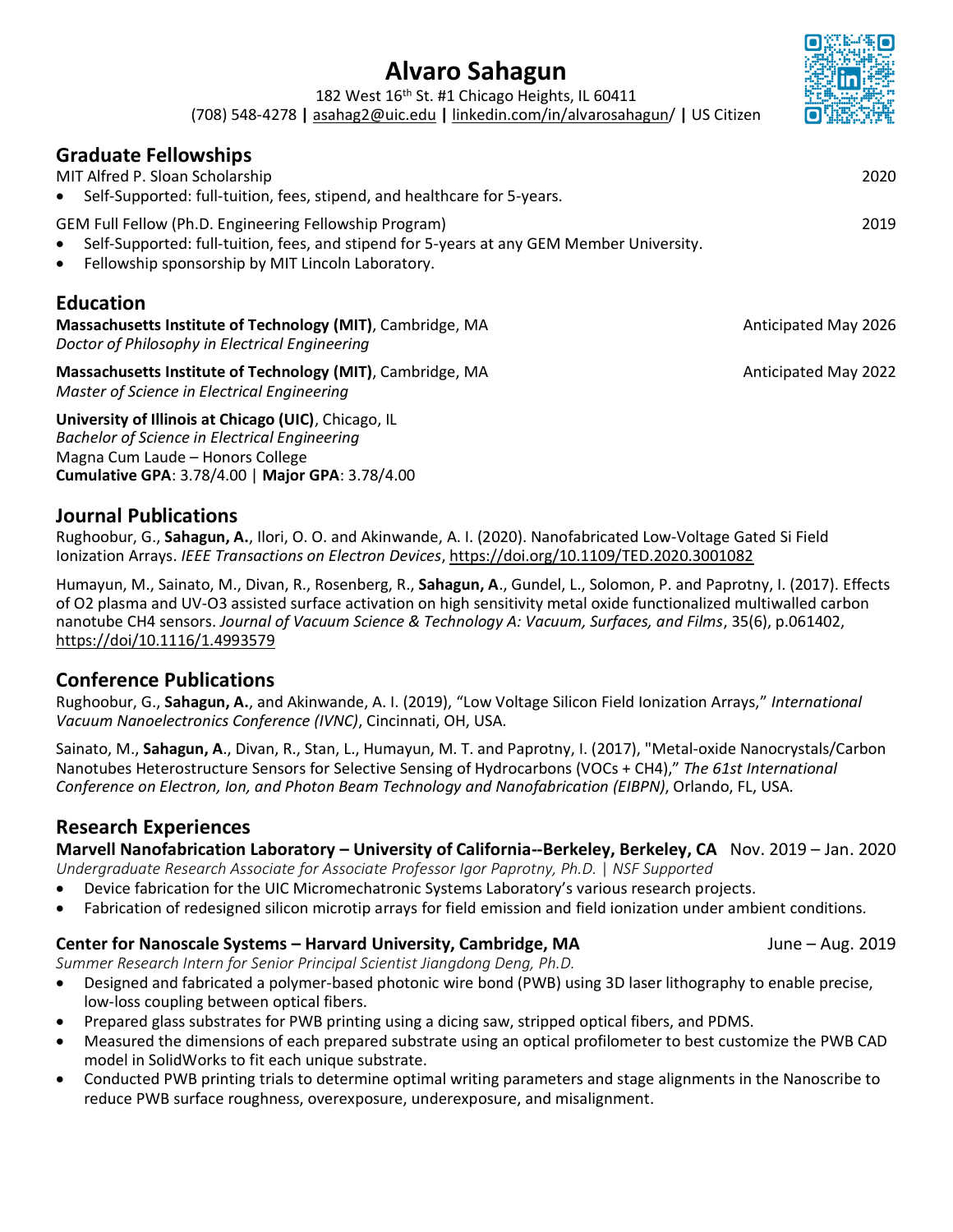# **Alvaro Sahagun**

182 West 16<sup>th</sup> St. #1 Chicago Heights, IL 60411

(708) 548-4278 **|** [asahag2@uic.edu](mailto:asahag2@uic.edu) **|** [linkedin.com/in/alvarosahagun/](http://www.linkedin.com/in/alvarosahagun/) **|** US Citizen

# **Graduate Fellowships**

MIT Alfred P. Sloan Scholarship 2020

• Self-Supported: full-tuition, fees, stipend, and healthcare for 5-years.

GEM Full Fellow (Ph.D. Engineering Fellowship Program) 2019

- Self-Supported: full-tuition, fees, and stipend for 5-years at any GEM Member University.
- Fellowship sponsorship by MIT Lincoln Laboratory.

# **Education**

**Massachusetts Institute of Technology (MIT)**, Cambridge, MA **Anticipated May 2026** *Doctor of Philosophy in Electrical Engineering*

**Massachusetts Institute of Technology (MIT)**, Cambridge, MA Anticipated May 2022 *Master of Science in Electrical Engineering*

**University of Illinois at Chicago (UIC)**, Chicago, IL *Bachelor of Science in Electrical Engineering* Magna Cum Laude – Honors College **Cumulative GPA**: 3.78/4.00 | **Major GPA**: 3.78/4.00

# **Journal Publications**

Rughoobur, G., **Sahagun, A.**, Ilori, O. O. and Akinwande, A. I. (2020). Nanofabricated Low-Voltage Gated Si Field Ionization Arrays. *IEEE Transactions on Electron Devices*, <https://doi.org/10.1109/TED.2020.3001082>

Humayun, M., Sainato, M., Divan, R., Rosenberg, R., **Sahagun, A**., Gundel, L., Solomon, P. and Paprotny, I. (2017). Effects of O2 plasma and UV-O3 assisted surface activation on high sensitivity metal oxide functionalized multiwalled carbon nanotube CH4 sensors. *Journal of Vacuum Science & Technology A: Vacuum, Surfaces, and Films*, 35(6), p.061402, [https://doi/10.1116/1.4993579](https://avs.scitation.org/doi/10.1116/1.4993579)

# **Conference Publications**

Rughoobur, G., **Sahagun, A.**, and Akinwande, A. I. (2019), "Low Voltage Silicon Field Ionization Arrays," *International Vacuum Nanoelectronics Conference (IVNC)*, Cincinnati, OH, USA.

Sainato, M., **Sahagun, A**., Divan, R., Stan, L., Humayun, M. T. and Paprotny, I. (2017), "Metal-oxide Nanocrystals/Carbon Nanotubes Heterostructure Sensors for Selective Sensing of Hydrocarbons (VOCs + CH4)," *The 61st International Conference on Electron, Ion, and Photon Beam Technology and Nanofabrication (EIBPN)*, Orlando, FL, USA.

# **Research Experiences**

**Marvell Nanofabrication Laboratory – University of California--Berkeley, Berkeley, CA** Nov. 2019 – Jan. 2020

*Undergraduate Research Associate for Associate Professor Igor Paprotny, Ph.D.* | *NSF Supported*

- Device fabrication for the UIC Micromechatronic Systems Laboratory's various research projects.
- Fabrication of redesigned silicon microtip arrays for field emission and field ionization under ambient conditions.

# **Center for Nanoscale Systems – Harvard University, Cambridge, MA** June – Aug. 2019

*Summer Research Intern for Senior Principal Scientist Jiangdong Deng, Ph.D.*

- Designed and fabricated a polymer-based photonic wire bond (PWB) using 3D laser lithography to enable precise, low-loss coupling between optical fibers.
- Prepared glass substrates for PWB printing using a dicing saw, stripped optical fibers, and PDMS.
- Measured the dimensions of each prepared substrate using an optical profilometer to best customize the PWB CAD model in SolidWorks to fit each unique substrate.
- Conducted PWB printing trials to determine optimal writing parameters and stage alignments in the Nanoscribe to reduce PWB surface roughness, overexposure, underexposure, and misalignment.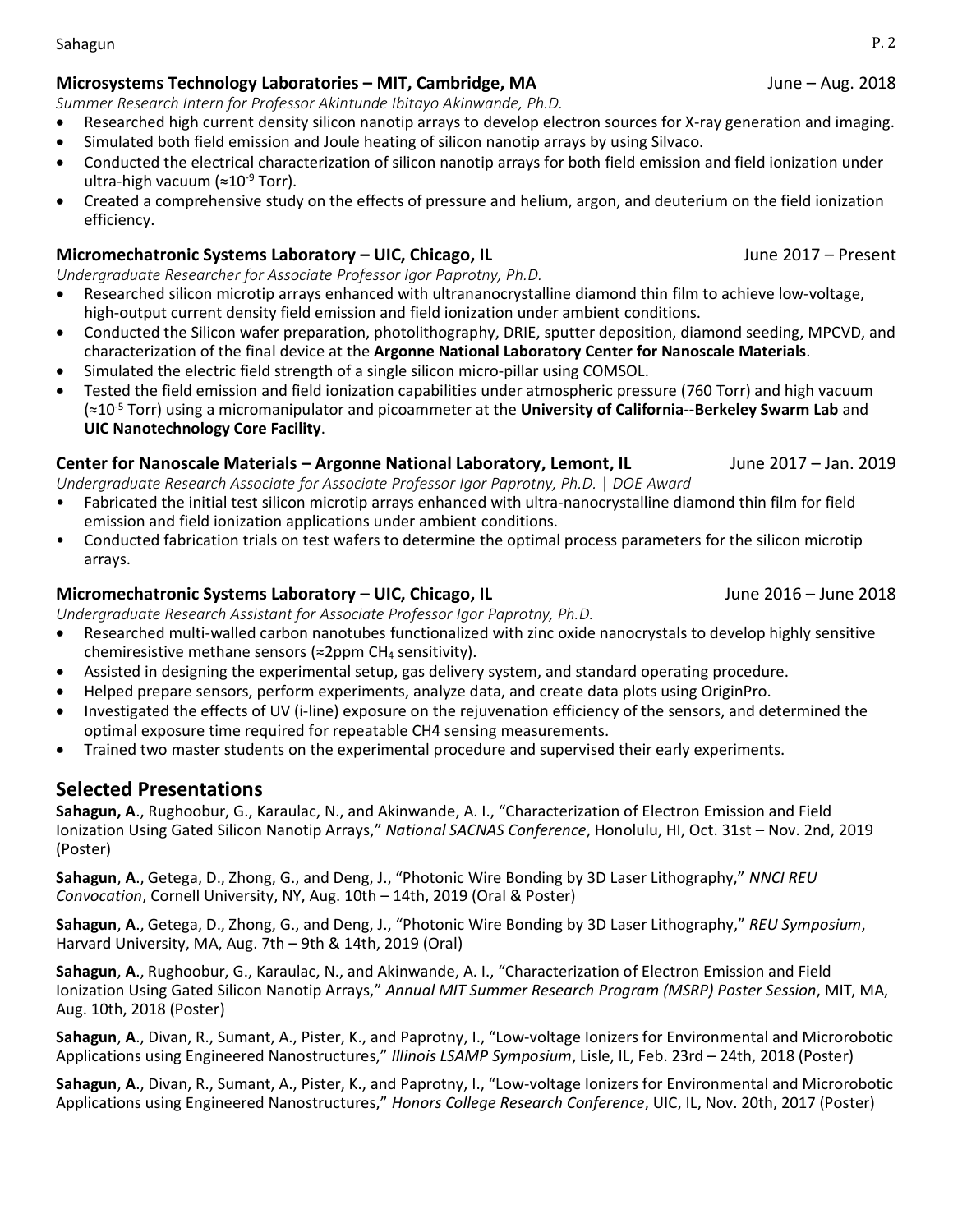Sahagun P. 2

#### **Microsystems Technology Laboratories – MIT, Cambridge, MA** June – Aug. 2018

*Summer Research Intern for Professor Akintunde Ibitayo Akinwande, Ph.D.*

- Researched high current density silicon nanotip arrays to develop electron sources for X-ray generation and imaging.
- Simulated both field emission and Joule heating of silicon nanotip arrays by using Silvaco.
- Conducted the electrical characterization of silicon nanotip arrays for both field emission and field ionization under ultra-high vacuum (≈10-9 Torr).
- Created a comprehensive study on the effects of pressure and helium, argon, and deuterium on the field ionization efficiency.

#### **Micromechatronic Systems Laboratory – UIC, Chicago, IL** June 2017 – Present

*Undergraduate Researcher for Associate Professor Igor Paprotny, Ph.D.*

- Researched silicon microtip arrays enhanced with ultrananocrystalline diamond thin film to achieve low-voltage, high-output current density field emission and field ionization under ambient conditions.
- Conducted the Silicon wafer preparation, photolithography, DRIE, sputter deposition, diamond seeding, MPCVD, and characterization of the final device at the **Argonne National Laboratory Center for Nanoscale Materials**.
- Simulated the electric field strength of a single silicon micro-pillar using COMSOL.
- Tested the field emission and field ionization capabilities under atmospheric pressure (760 Torr) and high vacuum (≈10-5 Torr) using a micromanipulator and picoammeter at the **University of California--Berkeley Swarm Lab** and **UIC Nanotechnology Core Facility**.

#### **Center for Nanoscale Materials – Argonne National Laboratory, Lemont, IL** June 2017 – Jan. 2019

*Undergraduate Research Associate for Associate Professor Igor Paprotny, Ph.D.* | *DOE Award*

- Fabricated the initial test silicon microtip arrays enhanced with ultra-nanocrystalline diamond thin film for field emission and field ionization applications under ambient conditions.
- Conducted fabrication trials on test wafers to determine the optimal process parameters for the silicon microtip arrays.

#### **Micromechatronic Systems Laboratory – UIC, Chicago, IL** June 2016 – June 2018

*Undergraduate Research Assistant for Associate Professor Igor Paprotny, Ph.D.*

- Researched multi-walled carbon nanotubes functionalized with zinc oxide nanocrystals to develop highly sensitive chemiresistive methane sensors (≈2ppm CH<sup>4</sup> sensitivity).
- Assisted in designing the experimental setup, gas delivery system, and standard operating procedure.
- Helped prepare sensors, perform experiments, analyze data, and create data plots using OriginPro.
- Investigated the effects of UV (i-line) exposure on the rejuvenation efficiency of the sensors, and determined the optimal exposure time required for repeatable CH4 sensing measurements.
- Trained two master students on the experimental procedure and supervised their early experiments.

# **Selected Presentations**

**Sahagun, A**., Rughoobur, G., Karaulac, N., and Akinwande, A. I., "Characterization of Electron Emission and Field Ionization Using Gated Silicon Nanotip Arrays," *National SACNAS Conference*, Honolulu, HI, Oct. 31st – Nov. 2nd, 2019 (Poster)

**Sahagun**, **A**., Getega, D., Zhong, G., and Deng, J., "Photonic Wire Bonding by 3D Laser Lithography," *NNCI REU Convocation*, Cornell University, NY, Aug. 10th – 14th, 2019 (Oral & Poster)

**Sahagun**, **A**., Getega, D., Zhong, G., and Deng, J., "Photonic Wire Bonding by 3D Laser Lithography," *REU Symposium*, Harvard University, MA, Aug. 7th – 9th & 14th, 2019 (Oral)

**Sahagun**, **A**., Rughoobur, G., Karaulac, N., and Akinwande, A. I., "Characterization of Electron Emission and Field Ionization Using Gated Silicon Nanotip Arrays," *Annual MIT Summer Research Program (MSRP) Poster Session*, MIT, MA, Aug. 10th, 2018 (Poster)

**Sahagun**, **A**., Divan, R., Sumant, A., Pister, K., and Paprotny, I., "Low-voltage Ionizers for Environmental and Microrobotic Applications using Engineered Nanostructures," *Illinois LSAMP Symposium*, Lisle, IL, Feb. 23rd – 24th, 2018 (Poster)

**Sahagun**, **A**., Divan, R., Sumant, A., Pister, K., and Paprotny, I., "Low-voltage Ionizers for Environmental and Microrobotic Applications using Engineered Nanostructures," *Honors College Research Conference*, UIC, IL, Nov. 20th, 2017 (Poster)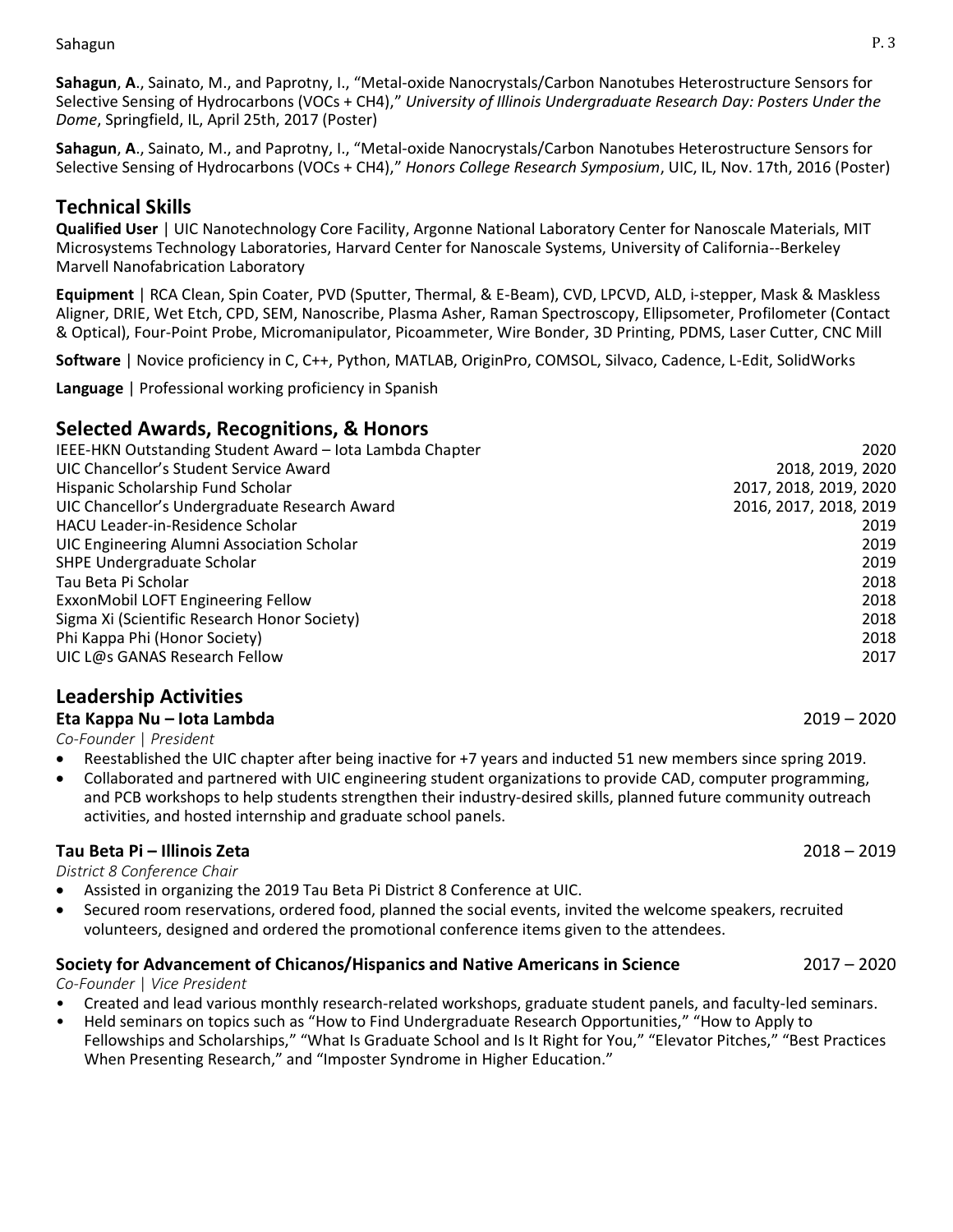**Sahagun**, **A**., Sainato, M., and Paprotny, I., "Metal-oxide Nanocrystals/Carbon Nanotubes Heterostructure Sensors for Selective Sensing of Hydrocarbons (VOCs + CH4)," *University of Illinois Undergraduate Research Day: Posters Under the Dome*, Springfield, IL, April 25th, 2017 (Poster)

**Sahagun**, **A**., Sainato, M., and Paprotny, I., "Metal-oxide Nanocrystals/Carbon Nanotubes Heterostructure Sensors for Selective Sensing of Hydrocarbons (VOCs + CH4)," *Honors College Research Symposium*, UIC, IL, Nov. 17th, 2016 (Poster)

# **Technical Skills**

**Qualified User** | UIC Nanotechnology Core Facility, Argonne National Laboratory Center for Nanoscale Materials, MIT Microsystems Technology Laboratories, Harvard Center for Nanoscale Systems, University of California--Berkeley Marvell Nanofabrication Laboratory

**Equipment** | RCA Clean, Spin Coater, PVD (Sputter, Thermal, & E-Beam), CVD, LPCVD, ALD, i-stepper, Mask & Maskless Aligner, DRIE, Wet Etch, CPD, SEM, Nanoscribe, Plasma Asher, Raman Spectroscopy, Ellipsometer, Profilometer (Contact & Optical), Four-Point Probe, Micromanipulator, Picoammeter, Wire Bonder, 3D Printing, PDMS, Laser Cutter, CNC Mill

**Software** | Novice proficiency in C, C++, Python, MATLAB, OriginPro, COMSOL, Silvaco, Cadence, L-Edit, SolidWorks

**Language** | Professional working proficiency in Spanish

# **Selected Awards, Recognitions, & Honors**

| IEEE-HKN Outstanding Student Award - Iota Lambda Chapter | 2020                   |
|----------------------------------------------------------|------------------------|
| UIC Chancellor's Student Service Award                   | 2018, 2019, 2020       |
| Hispanic Scholarship Fund Scholar                        | 2017, 2018, 2019, 2020 |
| UIC Chancellor's Undergraduate Research Award            | 2016, 2017, 2018, 2019 |
| HACU Leader-in-Residence Scholar                         | 2019                   |
| UIC Engineering Alumni Association Scholar               | 2019                   |
| SHPE Undergraduate Scholar                               | 2019                   |
| Tau Beta Pi Scholar                                      | 2018                   |
| ExxonMobil LOFT Engineering Fellow                       | 2018                   |
| Sigma Xi (Scientific Research Honor Society)             | 2018                   |
| Phi Kappa Phi (Honor Society)                            | 2018                   |
| UIC L@s GANAS Research Fellow                            | 2017                   |

# **Leadership Activities**

#### **Eta Kappa Nu – Iota Lambda** 2019 – 2020

*Co-Founder* | *President*

- Reestablished the UIC chapter after being inactive for +7 years and inducted 51 new members since spring 2019.
- Collaborated and partnered with UIC engineering student organizations to provide CAD, computer programming, and PCB workshops to help students strengthen their industry-desired skills, planned future community outreach activities, and hosted internship and graduate school panels.

#### **Tau Beta Pi – Illinois Zeta** 2018 – 2019

*District 8 Conference Chair*

- Assisted in organizing the 2019 Tau Beta Pi District 8 Conference at UIC.
- Secured room reservations, ordered food, planned the social events, invited the welcome speakers, recruited volunteers, designed and ordered the promotional conference items given to the attendees.

#### **Society for Advancement of Chicanos/Hispanics and Native Americans in Science** 2017 – 2020

*Co-Founder* | *Vice President* 

- Created and lead various monthly research-related workshops, graduate student panels, and faculty-led seminars.
- Held seminars on topics such as "How to Find Undergraduate Research Opportunities," "How to Apply to Fellowships and Scholarships," "What Is Graduate School and Is It Right for You," "Elevator Pitches," "Best Practices When Presenting Research," and "Imposter Syndrome in Higher Education."